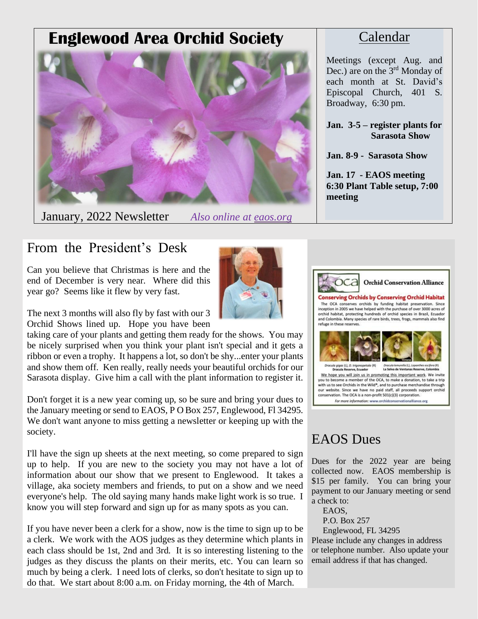# **Englewood Area Orchid Society**



January, 2022 Newsletter *Also online at eaos.org*

### Calendar

Meetings (except Aug. and Dec.) are on the 3<sup>rd</sup> Monday of each month at St. David's Episcopal Church, 401 S. Broadway, 6:30 pm.

**Jan. 3-5 – register plants for Sarasota Show**

**Jan. 8-9 - Sarasota Show**

**Jan. 17 - EAOS meeting 6:30 Plant Table setup, 7:00 meeting**

## From the President's Desk

Can you believe that Christmas is here and the end of December is very near. Where did this year go? Seems like it flew by very fast.

The next 3 months will also fly by fast with our 3 Orchid Shows lined up. Hope you have been

taking care of your plants and getting them ready for the shows. You may be nicely surprised when you think your plant isn't special and it gets a ribbon or even a trophy. It happens a lot, so don't be shy...enter your plants and show them off. Ken really, really needs your beautiful orchids for our Sarasota display. Give him a call with the plant information to register it.

Don't forget it is a new year coming up, so be sure and bring your dues to the January meeting or send to EAOS, P O Box 257, Englewood, Fl 34295. We don't want anyone to miss getting a newsletter or keeping up with the society.

I'll have the sign up sheets at the next meeting, so come prepared to sign up to help. If you are new to the society you may not have a lot of information about our show that we present to Englewood. It takes a village, aka society members and friends, to put on a show and we need everyone's help. The old saying many hands make light work is so true. I know you will step forward and sign up for as many spots as you can.

If you have never been a clerk for a show, now is the time to sign up to be a clerk. We work with the AOS judges as they determine which plants in each class should be 1st, 2nd and 3rd. It is so interesting listening to the judges as they discuss the plants on their merits, etc. You can learn so much by being a clerk. I need lots of clerks, so don't hesitate to sign up to do that. We start about 8:00 a.m. on Friday morning, the 4th of March.





For more information: www.orchidconservationalliance.org

## EAOS Dues

Dues for the 2022 year are being collected now. EAOS membership is \$15 per family. You can bring your payment to our January meeting or send a check to:

EAOS,

P.O. Box 257

Englewood, FL 34295 Please include any changes in address or telephone number. Also update your email address if that has changed.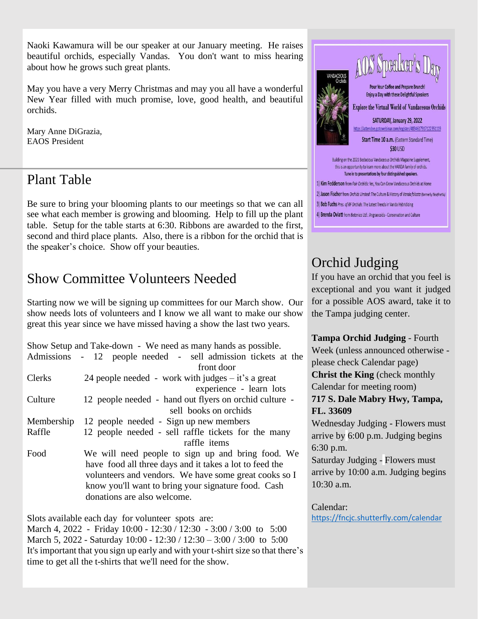Naoki Kawamura will be our speaker at our January meeting. He raises beautiful orchids, especially Vandas. You don't want to miss hearing about how he grows such great plants.

May you have a very Merry Christmas and may you all have a wonderful New Year filled with much promise, love, good health, and beautiful orchids.

Mary Anne DiGrazia, EAOS President

### Plant Table

Be sure to bring your blooming plants to our meetings so that we can all see what each member is growing and blooming. Help to fill up the plant table. Setup for the table starts at 6:30. Ribbons are awarded to the first, second and third place plants. Also, there is a ribbon for the orchid that is the speaker's choice. Show off your beauties.

## Show Committee Volunteers Needed

Starting now we will be signing up committees for our March show. Our show needs lots of volunteers and I know we all want to make our show great this year since we have missed having a show the last two years.

|               | Show Setup and Take-down - We need as many hands as possible.<br>Admissions - 12 people needed - sell admission tickets at the<br>front door                                                                                                                |  |
|---------------|-------------------------------------------------------------------------------------------------------------------------------------------------------------------------------------------------------------------------------------------------------------|--|
| <b>Clerks</b> | 24 people needed - work with judges $-$ it's a great                                                                                                                                                                                                        |  |
|               | experience - learn lots                                                                                                                                                                                                                                     |  |
| Culture       | 12 people needed - hand out flyers on orchid culture -                                                                                                                                                                                                      |  |
|               | sell books on orchids                                                                                                                                                                                                                                       |  |
| Membership    | 12 people needed - Sign up new members                                                                                                                                                                                                                      |  |
| Raffle        | 12 people needed - sell raffle tickets for the many<br>raffle items                                                                                                                                                                                         |  |
| Food          | We will need people to sign up and bring food. We<br>have food all three days and it takes a lot to feed the<br>volunteers and vendors. We have some great cooks so I<br>know you'll want to bring your signature food. Cash<br>donations are also welcome. |  |

Slots available each day for volunteer spots are:

March 4, 2022 - Friday 10:00 - 12:30 / 12:30 - 3:00 / 3:00 to 5:00 March 5, 2022 - Saturday 10:00 - 12:30 / 12:30 - 3:00 / 3:00 to 5:00 It's important that you sign up early and with your t-shirt size so that there's time to get all the t-shirts that we'll need for the show.



# Orchid Judging

If you have an orchid that you feel is exceptional and you want it judged for a possible AOS award, take it to the Tampa judging center.

**Tampa Orchid Judging** - Fourth

Week (unless announced otherwise please check Calendar page) **Christ the King** (check monthly Calendar for meeting room)

### **717 S. Dale Mabry Hwy, Tampa, FL. 33609**

Wednesday Judging - Flowers must arrive by 6:00 p.m. Judging begins 6:30 p.m.

Saturday Judging - Flowers must arrive by 10:00 a.m. Judging begins 10:30 a.m.

Calendar:

<https://fncjc.shutterfly.com/calendar>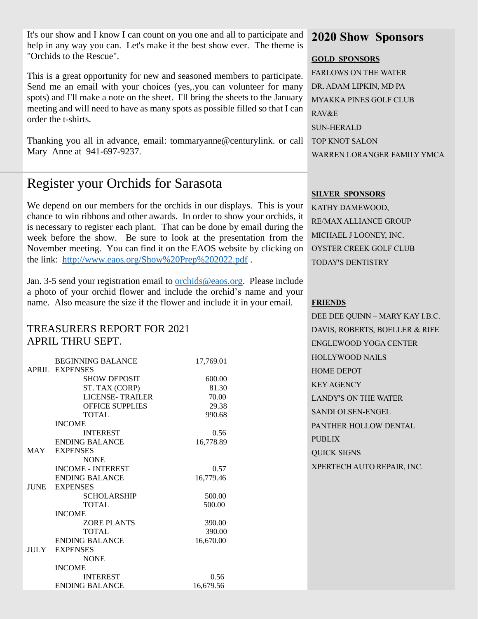It's our show and I know I can count on you one and all to participate and help in any way you can. Let's make it the best show ever. The theme is "Orchids to the Rescue".

This is a great opportunity for new and seasoned members to participate. Send me an email with your choices (yes,.you can volunteer for many spots) and I'll make a note on the sheet. I'll bring the sheets to the January meeting and will need to have as many spots as possible filled so that I can order the t-shirts.

Thanking you all in advance, email: tommaryanne@centurylink. or call Mary Anne at 941-697-9237.

## Register your Orchids for Sarasota

We depend on our members for the orchids in our displays. This is your chance to win ribbons and other awards. In order to show your orchids, it is necessary to register each plant. That can be done by email during the week before the show. Be sure to look at the presentation from the November meeting. You can find it on the EAOS website by clicking on the link: <http://www.eaos.org/Show%20Prep%202022.pdf> .

Jan. 3-5 send your registration email to [orchids@eaos.org.](mailto:orchids@eaos.org) Please include a photo of your orchid flower and include the orchid's name and your name. Also measure the size if the flower and include it in your email.

### TREASURERS REPORT FOR 2021 APRIL THRU SEPT.

|             | <b>BEGINNING BALANCE</b> | 17,769.01 |
|-------------|--------------------------|-----------|
|             | <b>APRIL EXPENSES</b>    |           |
|             | <b>SHOW DEPOSIT</b>      | 600.00    |
|             | ST. TAX (CORP)           | 81.30     |
|             | <b>LICENSE-TRAILER</b>   | 70.00     |
|             | <b>OFFICE SUPPLIES</b>   | 29.38     |
|             | <b>TOTAL</b>             | 990.68    |
|             | <b>INCOME</b>            |           |
|             | <b>INTEREST</b>          | 0.56      |
|             | <b>ENDING BALANCE</b>    | 16,778.89 |
| MAY         | <b>EXPENSES</b>          |           |
|             | <b>NONE</b>              |           |
|             | <b>INCOME - INTEREST</b> | 0.57      |
|             | <b>ENDING BALANCE</b>    | 16,779.46 |
| <b>JUNE</b> | <b>EXPENSES</b>          |           |
|             | <b>SCHOLARSHIP</b>       | 500.00    |
|             | TOTAL.                   | 500.00    |
|             | <b>INCOME</b>            |           |
|             | <b>ZORE PLANTS</b>       | 390.00    |
|             | <b>TOTAL</b>             | 390.00    |
|             | <b>ENDING BALANCE</b>    | 16,670.00 |
| JULY        | <b>EXPENSES</b>          |           |
|             | <b>NONE</b>              |           |
|             | <b>INCOME</b>            |           |
|             | <b>INTEREST</b>          | 0.56      |
|             | <b>ENDING BALANCE</b>    | 16,679.56 |

### **2020 Show Sponsors**

#### **GOLD SPONSORS**

FARLOWS ON THE WATER DR. ADAM LIPKIN, MD PA MYAKKA PINES GOLF CLUB RAV&E SUN-HERALD TOP KNOT SALON WARREN LORANGER FAMILY YMCA

#### **SILVER SPONSORS**

KATHY DAMEWOOD, RE/MAX ALLIANCE GROUP MICHAEL J LOONEY, INC. OYSTER CREEK GOLF CLUB TODAY'S DENTISTRY

#### **FRIENDS**

DEE DEE QUINN – MARY KAY I.B.C. DAVIS, ROBERTS, BOELLER & RIFE ENGLEWOOD YOGA CENTER HOLLYWOOD NAILS HOME DEPOT KEY AGENCY LANDY'S ON THE WATER SANDI OLSEN-ENGEL PANTHER HOLLOW DENTAL PUBLIX QUICK SIGNS XPERTECH AUTO REPAIR, INC.